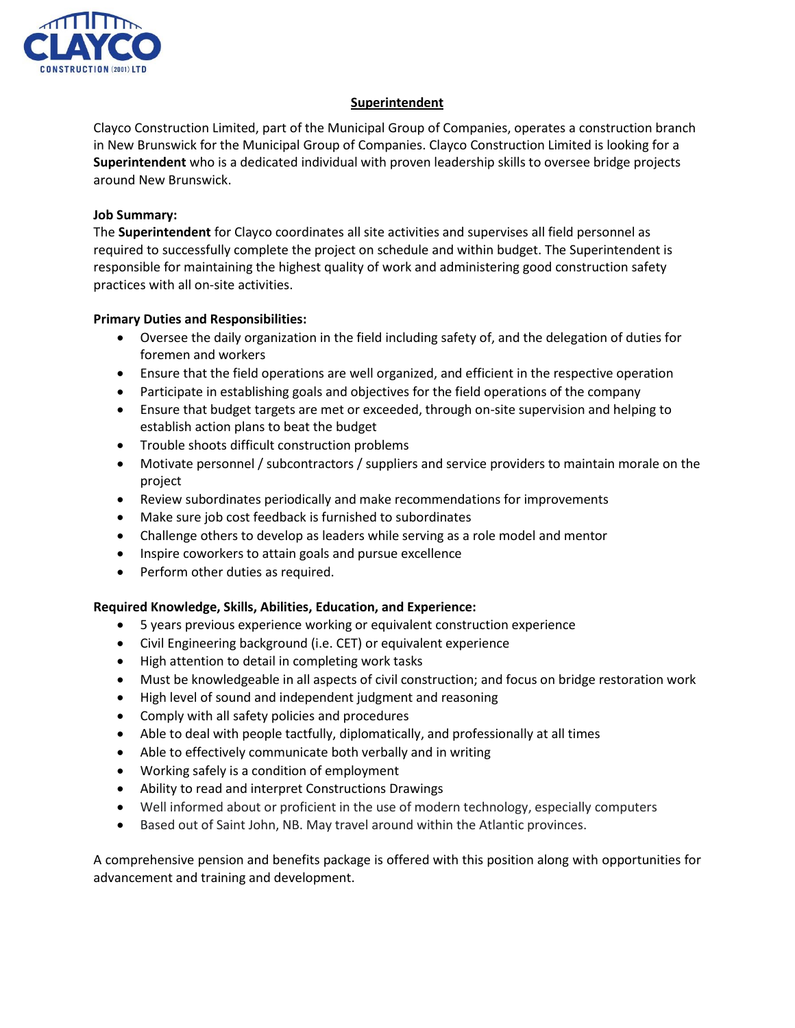

## **Superintendent**

Clayco Construction Limited, part of the Municipal Group of Companies, operates a construction branch in New Brunswick for the Municipal Group of Companies. Clayco Construction Limited is looking for a **Superintendent** who is a dedicated individual with proven leadership skills to oversee bridge projects around New Brunswick.

## **Job Summary:**

The **Superintendent** for Clayco coordinates all site activities and supervises all field personnel as required to successfully complete the project on schedule and within budget. The Superintendent is responsible for maintaining the highest quality of work and administering good construction safety practices with all on-site activities.

## **Primary Duties and Responsibilities:**

- Oversee the daily organization in the field including safety of, and the delegation of duties for foremen and workers
- Ensure that the field operations are well organized, and efficient in the respective operation
- Participate in establishing goals and objectives for the field operations of the company
- Ensure that budget targets are met or exceeded, through on-site supervision and helping to establish action plans to beat the budget
- Trouble shoots difficult construction problems
- Motivate personnel / subcontractors / suppliers and service providers to maintain morale on the project
- Review subordinates periodically and make recommendations for improvements
- Make sure job cost feedback is furnished to subordinates
- Challenge others to develop as leaders while serving as a role model and mentor
- Inspire coworkers to attain goals and pursue excellence
- Perform other duties as required.

## **Required Knowledge, Skills, Abilities, Education, and Experience:**

- 5 years previous experience working or equivalent construction experience
- Civil Engineering background (i.e. CET) or equivalent experience
- High attention to detail in completing work tasks
- Must be knowledgeable in all aspects of civil construction; and focus on bridge restoration work
- High level of sound and independent judgment and reasoning
- Comply with all safety policies and procedures
- Able to deal with people tactfully, diplomatically, and professionally at all times
- Able to effectively communicate both verbally and in writing
- Working safely is a condition of employment
- Ability to read and interpret Constructions Drawings
- Well informed about or proficient in the use of modern technology, especially computers
- Based out of Saint John, NB. May travel around within the Atlantic provinces.

A comprehensive pension and benefits package is offered with this position along with opportunities for advancement and training and development.